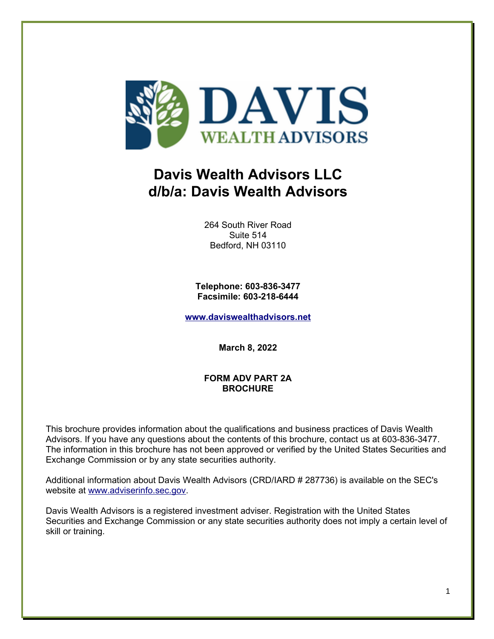

# **Davis Wealth Advisors LLC d/b/a: Davis Wealth Advisors**

264 South River Road Suite 514 Bedford, NH 03110

**Telephone: 603-836-3477 Facsimile: 603-218-6444**

**[www.daviswealthadvisors.net](http://www.daviswealthadvisors.net/)**

**March 8, 2022**

## **FORM ADV PART 2A BROCHURE**

This brochure provides information about the qualifications and business practices of Davis Wealth Advisors. If you have any questions about the contents of this brochure, contact us at 603-836-3477. The information in this brochure has not been approved or verified by the United States Securities and Exchange Commission or by any state securities authority.

Additional information about Davis Wealth Advisors (CRD/IARD # 287736) is available on the SEC's website at [www.adviserinfo.sec.gov.](http://www.adviserinfo.sec.gov/)

Davis Wealth Advisors is a registered investment adviser. Registration with the United States Securities and Exchange Commission or any state securities authority does not imply a certain level of skill or training.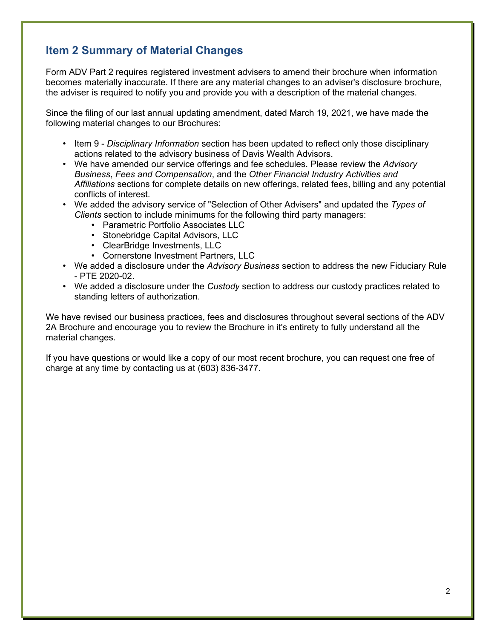# **Item 2 Summary of Material Changes**

Form ADV Part 2 requires registered investment advisers to amend their brochure when information becomes materially inaccurate. If there are any material changes to an adviser's disclosure brochure, the adviser is required to notify you and provide you with a description of the material changes.

Since the filing of our last annual updating amendment, dated March 19, 2021, we have made the following material changes to our Brochures:

- Item 9 *Disciplinary Information* section has been updated to reflect only those disciplinary actions related to the advisory business of Davis Wealth Advisors.
- We have amended our service offerings and fee schedules. Please review the *Advisory Business*, *Fees and Compensation*, and the *Other Financial Industry Activities and Affiliations* sections for complete details on new offerings, related fees, billing and any potential conflicts of interest.
- We added the advisory service of "Selection of Other Advisers" and updated the *Types of Clients* section to include minimums for the following third party managers:
	- Parametric Portfolio Associates LLC
	- Stonebridge Capital Advisors, LLC
	- ClearBridge Investments, LLC
	- Cornerstone Investment Partners, LLC
- We added a disclosure under the *Advisory Business* section to address the new Fiduciary Rule - PTE 2020-02.
- We added a disclosure under the *Custody* section to address our custody practices related to standing letters of authorization.

We have revised our business practices, fees and disclosures throughout several sections of the ADV 2A Brochure and encourage you to review the Brochure in it's entirety to fully understand all the material changes.

If you have questions or would like a copy of our most recent brochure, you can request one free of charge at any time by contacting us at (603) 836-3477.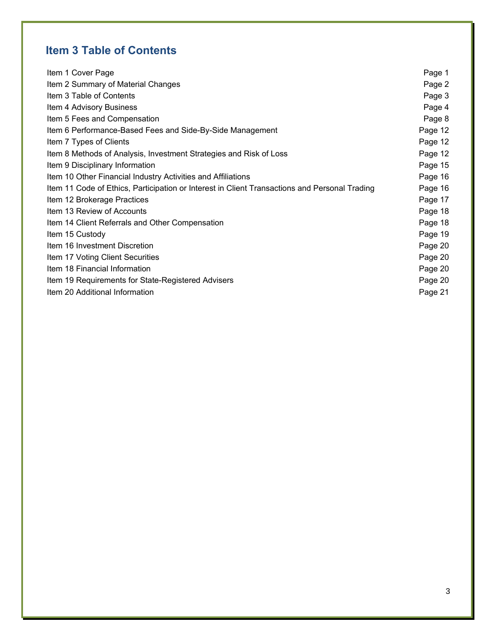# **Item 3 Table of Contents**

| Item 1 Cover Page                                                                             | Page 1  |
|-----------------------------------------------------------------------------------------------|---------|
| Item 2 Summary of Material Changes                                                            | Page 2  |
| Item 3 Table of Contents                                                                      | Page 3  |
| Item 4 Advisory Business                                                                      | Page 4  |
| Item 5 Fees and Compensation                                                                  | Page 8  |
| Item 6 Performance-Based Fees and Side-By-Side Management                                     | Page 12 |
| Item 7 Types of Clients                                                                       | Page 12 |
| Item 8 Methods of Analysis, Investment Strategies and Risk of Loss                            | Page 12 |
| Item 9 Disciplinary Information                                                               | Page 15 |
| Item 10 Other Financial Industry Activities and Affiliations                                  | Page 16 |
| Item 11 Code of Ethics, Participation or Interest in Client Transactions and Personal Trading | Page 16 |
| Item 12 Brokerage Practices                                                                   | Page 17 |
| Item 13 Review of Accounts                                                                    | Page 18 |
| Item 14 Client Referrals and Other Compensation                                               | Page 18 |
| Item 15 Custody                                                                               | Page 19 |
| Item 16 Investment Discretion                                                                 | Page 20 |
| Item 17 Voting Client Securities                                                              | Page 20 |
| Item 18 Financial Information                                                                 | Page 20 |
| Item 19 Requirements for State-Registered Advisers                                            | Page 20 |
| Item 20 Additional Information                                                                | Page 21 |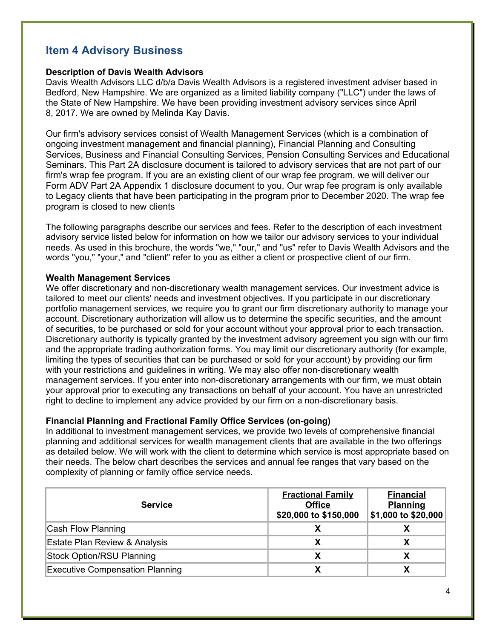# **Item 4 Advisory Business**

## **Description of Davis Wealth Advisors**

Davis Wealth Advisors LLC d/b/a Davis Wealth Advisors is a registered investment adviser based in Bedford, New Hampshire. We are organized as a limited liability company ("LLC") under the laws of the State of New Hampshire. We have been providing investment advisory services since April 8, 2017. We are owned by Melinda Kay Davis.

Our firm's advisory services consist of Wealth Management Services (which is a combination of ongoing investment management and financial planning), Financial Planning and Consulting Services, Business and Financial Consulting Services, Pension Consulting Services and Educational Seminars. This Part 2A disclosure document is tailored to advisory services that are not part of our firm's wrap fee program. If you are an existing client of our wrap fee program, we will deliver our Form ADV Part 2A Appendix 1 disclosure document to you. Our wrap fee program is only available to Legacy clients that have been participating in the program prior to December 2020. The wrap fee program is closed to new clients

The following paragraphs describe our services and fees. Refer to the description of each investment advisory service listed below for information on how we tailor our advisory services to your individual needs. As used in this brochure, the words "we," "our," and "us" refer to Davis Wealth Advisors and the words "you," "your," and "client" refer to you as either a client or prospective client of our firm.

## **Wealth Management Services**

We offer discretionary and non-discretionary wealth management services. Our investment advice is tailored to meet our clients' needs and investment objectives. If you participate in our discretionary portfolio management services, we require you to grant our firm discretionary authority to manage your account. Discretionary authorization will allow us to determine the specific securities, and the amount of securities, to be purchased or sold for your account without your approval prior to each transaction. Discretionary authority is typically granted by the investment advisory agreement you sign with our firm and the appropriate trading authorization forms. You may limit our discretionary authority (for example, limiting the types of securities that can be purchased or sold for your account) by providing our firm with your restrictions and guidelines in writing. We may also offer non-discretionary wealth management services. If you enter into non-discretionary arrangements with our firm, we must obtain your approval prior to executing any transactions on behalf of your account. You have an unrestricted right to decline to implement any advice provided by our firm on a non-discretionary basis.

## **Financial Planning and Fractional Family Office Services (on-going)**

In additional to investment management services, we provide two levels of comprehensive financial planning and additional services for wealth management clients that are available in the two offerings as detailed below. We will work with the client to determine which service is most appropriate based on their needs. The below chart describes the services and annual fee ranges that vary based on the complexity of planning or family office service needs.

| <b>Service</b>                           | <b>Fractional Family</b><br><b>Office</b><br>\$20,000 to \$150,000 | <b>Financial</b><br><b>Planning</b><br>\$1,000 to \$20,000 |
|------------------------------------------|--------------------------------------------------------------------|------------------------------------------------------------|
| Cash Flow Planning                       |                                                                    |                                                            |
| <b>Estate Plan Review &amp; Analysis</b> |                                                                    |                                                            |
| <b>Stock Option/RSU Planning</b>         |                                                                    |                                                            |
| <b>Executive Compensation Planning</b>   |                                                                    |                                                            |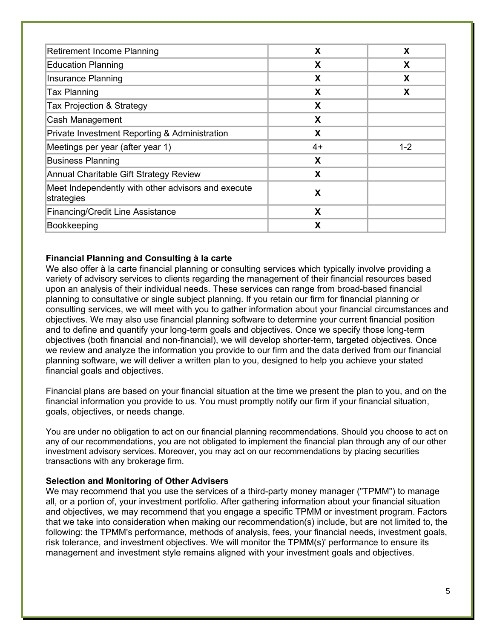| Retirement Income Planning                                       | X    | X       |
|------------------------------------------------------------------|------|---------|
| <b>Education Planning</b>                                        | X    | X       |
| <b>Insurance Planning</b>                                        | X    | X       |
| <b>Tax Planning</b>                                              | X    | X       |
| Tax Projection & Strategy                                        | X    |         |
| Cash Management                                                  | X    |         |
| Private Investment Reporting & Administration                    | X    |         |
| Meetings per year (after year 1)                                 | $4+$ | $1 - 2$ |
| <b>Business Planning</b>                                         | X    |         |
| Annual Charitable Gift Strategy Review                           | X    |         |
| Meet Independently with other advisors and execute<br>strategies | X    |         |
| <b>Financing/Credit Line Assistance</b>                          | X    |         |
| Bookkeeping                                                      | χ    |         |

## **Financial Planning and Consulting à la carte**

We also offer à la carte financial planning or consulting services which typically involve providing a variety of advisory services to clients regarding the management of their financial resources based upon an analysis of their individual needs. These services can range from broad-based financial planning to consultative or single subject planning. If you retain our firm for financial planning or consulting services, we will meet with you to gather information about your financial circumstances and objectives. We may also use financial planning software to determine your current financial position and to define and quantify your long-term goals and objectives. Once we specify those long-term objectives (both financial and non-financial), we will develop shorter-term, targeted objectives. Once we review and analyze the information you provide to our firm and the data derived from our financial planning software, we will deliver a written plan to you, designed to help you achieve your stated financial goals and objectives.

Financial plans are based on your financial situation at the time we present the plan to you, and on the financial information you provide to us. You must promptly notify our firm if your financial situation, goals, objectives, or needs change.

You are under no obligation to act on our financial planning recommendations. Should you choose to act on any of our recommendations, you are not obligated to implement the financial plan through any of our other investment advisory services. Moreover, you may act on our recommendations by placing securities transactions with any brokerage firm.

#### **Selection and Monitoring of Other Advisers**

We may recommend that you use the services of a third-party money manager ("TPMM") to manage all, or a portion of, your investment portfolio. After gathering information about your financial situation and objectives, we may recommend that you engage a specific TPMM or investment program. Factors that we take into consideration when making our recommendation(s) include, but are not limited to, the following: the TPMM's performance, methods of analysis, fees, your financial needs, investment goals, risk tolerance, and investment objectives. We will monitor the TPMM(s)' performance to ensure its management and investment style remains aligned with your investment goals and objectives.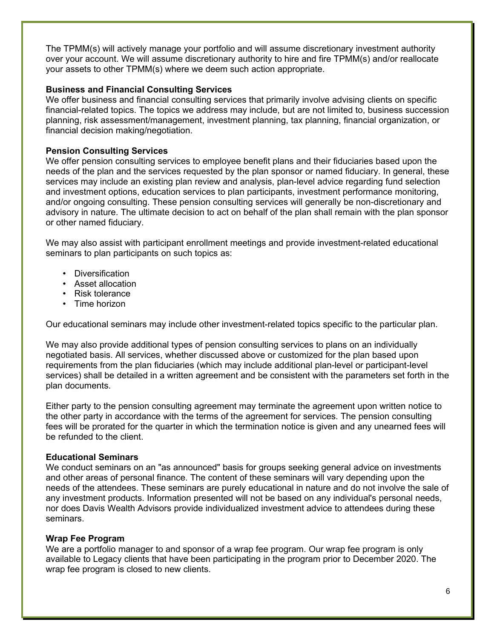The TPMM(s) will actively manage your portfolio and will assume discretionary investment authority over your account. We will assume discretionary authority to hire and fire TPMM(s) and/or reallocate your assets to other TPMM(s) where we deem such action appropriate.

## **Business and Financial Consulting Services**

We offer business and financial consulting services that primarily involve advising clients on specific financial-related topics. The topics we address may include, but are not limited to, business succession planning, risk assessment/management, investment planning, tax planning, financial organization, or financial decision making/negotiation.

## **Pension Consulting Services**

We offer pension consulting services to employee benefit plans and their fiduciaries based upon the needs of the plan and the services requested by the plan sponsor or named fiduciary. In general, these services may include an existing plan review and analysis, plan-level advice regarding fund selection and investment options, education services to plan participants, investment performance monitoring, and/or ongoing consulting. These pension consulting services will generally be non-discretionary and advisory in nature. The ultimate decision to act on behalf of the plan shall remain with the plan sponsor or other named fiduciary.

We may also assist with participant enrollment meetings and provide investment-related educational seminars to plan participants on such topics as:

- Diversification
- Asset allocation
- Risk tolerance
- Time horizon

Our educational seminars may include other investment-related topics specific to the particular plan.

We may also provide additional types of pension consulting services to plans on an individually negotiated basis. All services, whether discussed above or customized for the plan based upon requirements from the plan fiduciaries (which may include additional plan-level or participant-level services) shall be detailed in a written agreement and be consistent with the parameters set forth in the plan documents.

Either party to the pension consulting agreement may terminate the agreement upon written notice to the other party in accordance with the terms of the agreement for services. The pension consulting fees will be prorated for the quarter in which the termination notice is given and any unearned fees will be refunded to the client.

#### **Educational Seminars**

We conduct seminars on an "as announced" basis for groups seeking general advice on investments and other areas of personal finance. The content of these seminars will vary depending upon the needs of the attendees. These seminars are purely educational in nature and do not involve the sale of any investment products. Information presented will not be based on any individual's personal needs, nor does Davis Wealth Advisors provide individualized investment advice to attendees during these seminars.

## **Wrap Fee Program**

We are a portfolio manager to and sponsor of a wrap fee program. Our wrap fee program is only available to Legacy clients that have been participating in the program prior to December 2020. The wrap fee program is closed to new clients.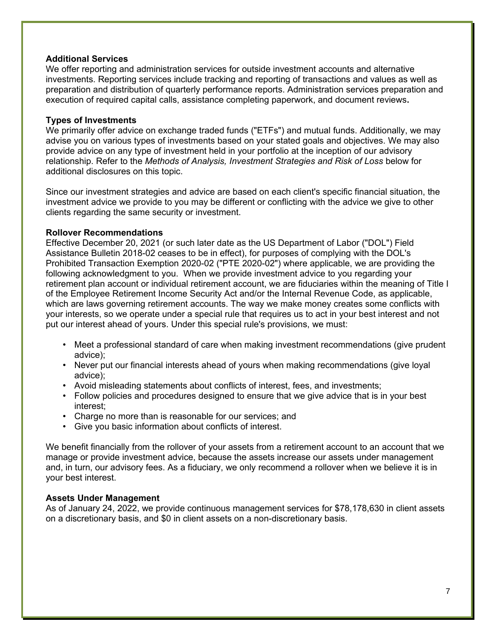#### **Additional Services**

We offer reporting and administration services for outside investment accounts and alternative investments. Reporting services include tracking and reporting of transactions and values as well as preparation and distribution of quarterly performance reports. Administration services preparation and execution of required capital calls, assistance completing paperwork, and document reviews**.**

## **Types of Investments**

We primarily offer advice on exchange traded funds ("ETFs") and mutual funds. Additionally, we may advise you on various types of investments based on your stated goals and objectives. We may also provide advice on any type of investment held in your portfolio at the inception of our advisory relationship. Refer to the *Methods of Analysis, Investment Strategies and Risk of Loss* below for additional disclosures on this topic.

Since our investment strategies and advice are based on each client's specific financial situation, the investment advice we provide to you may be different or conflicting with the advice we give to other clients regarding the same security or investment.

## **Rollover Recommendations**

Effective December 20, 2021 (or such later date as the US Department of Labor ("DOL") Field Assistance Bulletin 2018-02 ceases to be in effect), for purposes of complying with the DOL's Prohibited Transaction Exemption 2020-02 ("PTE 2020-02") where applicable, we are providing the following acknowledgment to you. When we provide investment advice to you regarding your retirement plan account or individual retirement account, we are fiduciaries within the meaning of Title I of the Employee Retirement Income Security Act and/or the Internal Revenue Code, as applicable, which are laws governing retirement accounts. The way we make money creates some conflicts with your interests, so we operate under a special rule that requires us to act in your best interest and not put our interest ahead of yours. Under this special rule's provisions, we must:

- Meet a professional standard of care when making investment recommendations (give prudent advice);
- Never put our financial interests ahead of yours when making recommendations (give loyal advice);
- Avoid misleading statements about conflicts of interest, fees, and investments;
- Follow policies and procedures designed to ensure that we give advice that is in your best interest;
- Charge no more than is reasonable for our services; and
- Give you basic information about conflicts of interest.

We benefit financially from the rollover of your assets from a retirement account to an account that we manage or provide investment advice, because the assets increase our assets under management and, in turn, our advisory fees. As a fiduciary, we only recommend a rollover when we believe it is in your best interest.

#### **Assets Under Management**

As of January 24, 2022, we provide continuous management services for \$78,178,630 in client assets on a discretionary basis, and \$0 in client assets on a non-discretionary basis.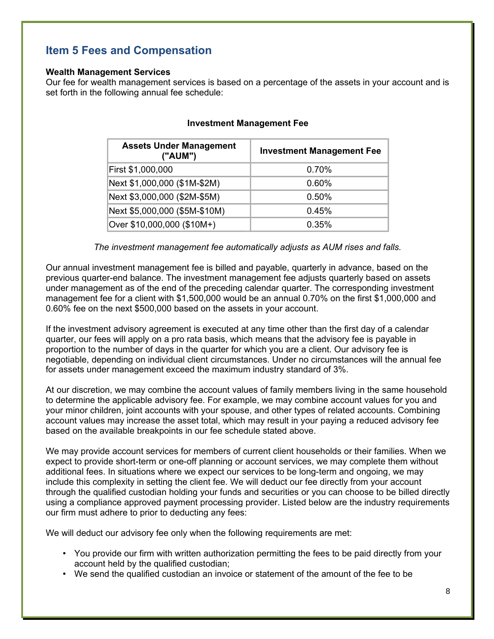# **Item 5 Fees and Compensation**

#### **Wealth Management Services**

Our fee for wealth management services is based on a percentage of the assets in your account and is set forth in the following annual fee schedule:

| <b>Assets Under Management</b><br>("AUM") | <b>Investment Management Fee</b> |
|-------------------------------------------|----------------------------------|
| First \$1,000,000                         | 0.70%                            |
| Next \$1,000,000 (\$1M-\$2M)              | 0.60%                            |
| Next \$3,000,000 (\$2M-\$5M)              | 0.50%                            |
| Next \$5,000,000 (\$5M-\$10M)             | 0.45%                            |
| Over \$10,000,000 (\$10M+)                | 0.35%                            |

## **Investment Management Fee**

*The investment management fee automatically adjusts as AUM rises and falls.*

Our annual investment management fee is billed and payable, quarterly in advance, based on the previous quarter-end balance. The investment management fee adjusts quarterly based on assets under management as of the end of the preceding calendar quarter. The corresponding investment management fee for a client with \$1,500,000 would be an annual 0.70% on the first \$1,000,000 and 0.60% fee on the next \$500,000 based on the assets in your account.

If the investment advisory agreement is executed at any time other than the first day of a calendar quarter, our fees will apply on a pro rata basis, which means that the advisory fee is payable in proportion to the number of days in the quarter for which you are a client. Our advisory fee is negotiable, depending on individual client circumstances. Under no circumstances will the annual fee for assets under management exceed the maximum industry standard of 3%.

At our discretion, we may combine the account values of family members living in the same household to determine the applicable advisory fee. For example, we may combine account values for you and your minor children, joint accounts with your spouse, and other types of related accounts. Combining account values may increase the asset total, which may result in your paying a reduced advisory fee based on the available breakpoints in our fee schedule stated above.

We may provide account services for members of current client households or their families. When we expect to provide short-term or one-off planning or account services, we may complete them without additional fees. In situations where we expect our services to be long-term and ongoing, we may include this complexity in setting the client fee. We will deduct our fee directly from your account through the qualified custodian holding your funds and securities or you can choose to be billed directly using a compliance approved payment processing provider. Listed below are the industry requirements our firm must adhere to prior to deducting any fees:

We will deduct our advisory fee only when the following requirements are met:

- You provide our firm with written authorization permitting the fees to be paid directly from your account held by the qualified custodian;
- We send the qualified custodian an invoice or statement of the amount of the fee to be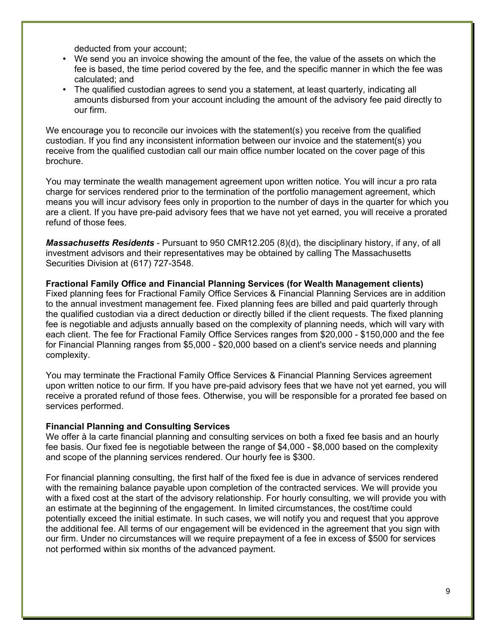deducted from your account;

- We send you an invoice showing the amount of the fee, the value of the assets on which the fee is based, the time period covered by the fee, and the specific manner in which the fee was calculated; and
- The qualified custodian agrees to send you a statement, at least quarterly, indicating all amounts disbursed from your account including the amount of the advisory fee paid directly to our firm.

We encourage you to reconcile our invoices with the statement(s) you receive from the qualified custodian. If you find any inconsistent information between our invoice and the statement(s) you receive from the qualified custodian call our main office number located on the cover page of this brochure.

You may terminate the wealth management agreement upon written notice. You will incur a pro rata charge for services rendered prior to the termination of the portfolio management agreement, which means you will incur advisory fees only in proportion to the number of days in the quarter for which you are a client. If you have pre-paid advisory fees that we have not yet earned, you will receive a prorated refund of those fees.

*Massachusetts Residents* - Pursuant to 950 CMR12.205 (8)(d), the disciplinary history, if any, of all investment advisors and their representatives may be obtained by calling The Massachusetts Securities Division at (617) 727-3548.

**Fractional Family Office and Financial Planning Services (for Wealth Management clients)** Fixed planning fees for Fractional Family Office Services & Financial Planning Services are in addition to the annual investment management fee. Fixed planning fees are billed and paid quarterly through the qualified custodian via a direct deduction or directly billed if the client requests. The fixed planning fee is negotiable and adjusts annually based on the complexity of planning needs, which will vary with each client. The fee for Fractional Family Office Services ranges from \$20,000 - \$150,000 and the fee for Financial Planning ranges from \$5,000 - \$20,000 based on a client's service needs and planning complexity.

You may terminate the Fractional Family Office Services & Financial Planning Services agreement upon written notice to our firm. If you have pre-paid advisory fees that we have not yet earned, you will receive a prorated refund of those fees. Otherwise, you will be responsible for a prorated fee based on services performed.

#### **Financial Planning and Consulting Services**

We offer à la carte financial planning and consulting services on both a fixed fee basis and an hourly fee basis. Our fixed fee is negotiable between the range of \$4,000 - \$8,000 based on the complexity and scope of the planning services rendered. Our hourly fee is \$300.

For financial planning consulting, the first half of the fixed fee is due in advance of services rendered with the remaining balance payable upon completion of the contracted services. We will provide you with a fixed cost at the start of the advisory relationship. For hourly consulting, we will provide you with an estimate at the beginning of the engagement. In limited circumstances, the cost/time could potentially exceed the initial estimate. In such cases, we will notify you and request that you approve the additional fee. All terms of our engagement will be evidenced in the agreement that you sign with our firm. Under no circumstances will we require prepayment of a fee in excess of \$500 for services not performed within six months of the advanced payment.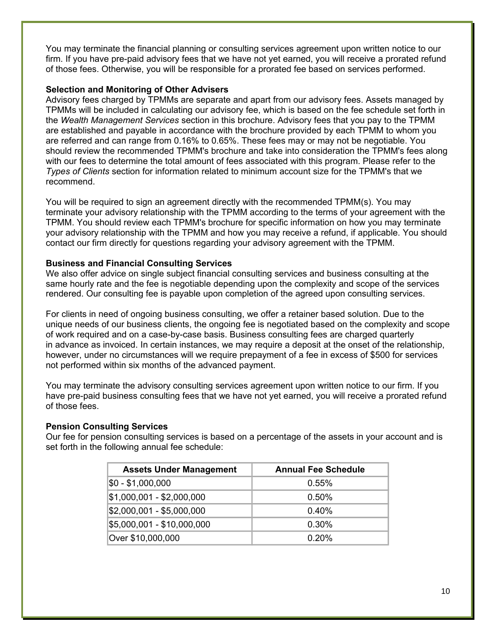You may terminate the financial planning or consulting services agreement upon written notice to our firm. If you have pre-paid advisory fees that we have not yet earned, you will receive a prorated refund of those fees. Otherwise, you will be responsible for a prorated fee based on services performed.

## **Selection and Monitoring of Other Advisers**

Advisory fees charged by TPMMs are separate and apart from our advisory fees. Assets managed by TPMMs will be included in calculating our advisory fee, which is based on the fee schedule set forth in the *Wealth Management Services* section in this brochure. Advisory fees that you pay to the TPMM are established and payable in accordance with the brochure provided by each TPMM to whom you are referred and can range from 0.16% to 0.65%. These fees may or may not be negotiable. You should review the recommended TPMM's brochure and take into consideration the TPMM's fees along with our fees to determine the total amount of fees associated with this program. Please refer to the *Types of Clients* section for information related to minimum account size for the TPMM's that we recommend.

You will be required to sign an agreement directly with the recommended TPMM(s). You may terminate your advisory relationship with the TPMM according to the terms of your agreement with the TPMM. You should review each TPMM's brochure for specific information on how you may terminate your advisory relationship with the TPMM and how you may receive a refund, if applicable. You should contact our firm directly for questions regarding your advisory agreement with the TPMM.

## **Business and Financial Consulting Services**

We also offer advice on single subject financial consulting services and business consulting at the same hourly rate and the fee is negotiable depending upon the complexity and scope of the services rendered. Our consulting fee is payable upon completion of the agreed upon consulting services.

For clients in need of ongoing business consulting, we offer a retainer based solution. Due to the unique needs of our business clients, the ongoing fee is negotiated based on the complexity and scope of work required and on a case-by-case basis. Business consulting fees are charged quarterly in advance as invoiced. In certain instances, we may require a deposit at the onset of the relationship, however, under no circumstances will we require prepayment of a fee in excess of \$500 for services not performed within six months of the advanced payment.

You may terminate the advisory consulting services agreement upon written notice to our firm. If you have pre-paid business consulting fees that we have not yet earned, you will receive a prorated refund of those fees.

#### **Pension Consulting Services**

Our fee for pension consulting services is based on a percentage of the assets in your account and is set forth in the following annual fee schedule:

| <b>Assets Under Management</b> | <b>Annual Fee Schedule</b> |
|--------------------------------|----------------------------|
| \$0 - \$1,000,000              | 0.55%                      |
| \$1,000,001 - \$2,000,000      | 0.50%                      |
| \$2,000,001 - \$5,000,000      | 0.40%                      |
| \$5,000,001 - \$10,000,000     | 0.30%                      |
| Over \$10,000,000              | 0.20%                      |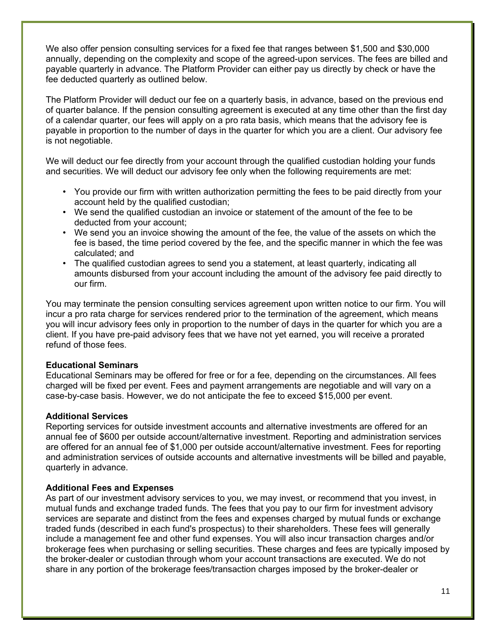We also offer pension consulting services for a fixed fee that ranges between \$1,500 and \$30,000 annually, depending on the complexity and scope of the agreed-upon services. The fees are billed and payable quarterly in advance. The Platform Provider can either pay us directly by check or have the fee deducted quarterly as outlined below.

The Platform Provider will deduct our fee on a quarterly basis, in advance, based on the previous end of quarter balance. If the pension consulting agreement is executed at any time other than the first day of a calendar quarter, our fees will apply on a pro rata basis, which means that the advisory fee is payable in proportion to the number of days in the quarter for which you are a client. Our advisory fee is not negotiable.

We will deduct our fee directly from your account through the qualified custodian holding your funds and securities. We will deduct our advisory fee only when the following requirements are met:

- You provide our firm with written authorization permitting the fees to be paid directly from your account held by the qualified custodian;
- We send the qualified custodian an invoice or statement of the amount of the fee to be deducted from your account;
- We send you an invoice showing the amount of the fee, the value of the assets on which the fee is based, the time period covered by the fee, and the specific manner in which the fee was calculated; and
- The qualified custodian agrees to send you a statement, at least quarterly, indicating all amounts disbursed from your account including the amount of the advisory fee paid directly to our firm.

You may terminate the pension consulting services agreement upon written notice to our firm. You will incur a pro rata charge for services rendered prior to the termination of the agreement, which means you will incur advisory fees only in proportion to the number of days in the quarter for which you are a client. If you have pre-paid advisory fees that we have not yet earned, you will receive a prorated refund of those fees.

#### **Educational Seminars**

Educational Seminars may be offered for free or for a fee, depending on the circumstances. All fees charged will be fixed per event. Fees and payment arrangements are negotiable and will vary on a case-by-case basis. However, we do not anticipate the fee to exceed \$15,000 per event.

#### **Additional Services**

Reporting services for outside investment accounts and alternative investments are offered for an annual fee of \$600 per outside account/alternative investment. Reporting and administration services are offered for an annual fee of \$1,000 per outside account/alternative investment. Fees for reporting and administration services of outside accounts and alternative investments will be billed and payable, quarterly in advance.

#### **Additional Fees and Expenses**

As part of our investment advisory services to you, we may invest, or recommend that you invest, in mutual funds and exchange traded funds. The fees that you pay to our firm for investment advisory services are separate and distinct from the fees and expenses charged by mutual funds or exchange traded funds (described in each fund's prospectus) to their shareholders. These fees will generally include a management fee and other fund expenses. You will also incur transaction charges and/or brokerage fees when purchasing or selling securities. These charges and fees are typically imposed by the broker-dealer or custodian through whom your account transactions are executed. We do not share in any portion of the brokerage fees/transaction charges imposed by the broker-dealer or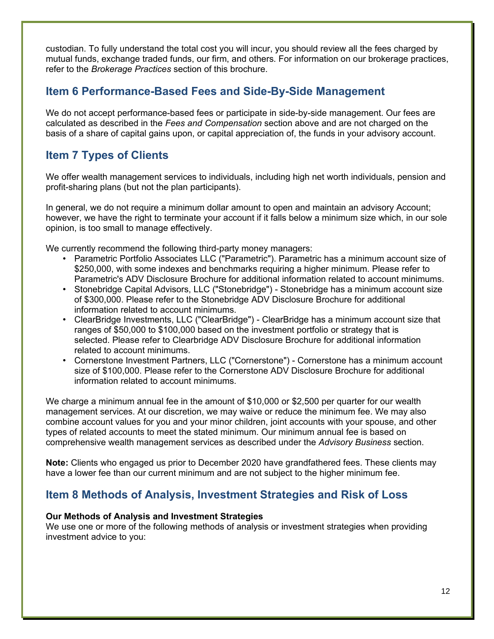custodian. To fully understand the total cost you will incur, you should review all the fees charged by mutual funds, exchange traded funds, our firm, and others. For information on our brokerage practices, refer to the *Brokerage Practices* section of this brochure.

# **Item 6 Performance-Based Fees and Side-By-Side Management**

We do not accept performance-based fees or participate in side-by-side management. Our fees are calculated as described in the *Fees and Compensation* section above and are not charged on the basis of a share of capital gains upon, or capital appreciation of, the funds in your advisory account.

# **Item 7 Types of Clients**

We offer wealth management services to individuals, including high net worth individuals, pension and profit-sharing plans (but not the plan participants).

In general, we do not require a minimum dollar amount to open and maintain an advisory Account; however, we have the right to terminate your account if it falls below a minimum size which, in our sole opinion, is too small to manage effectively.

We currently recommend the following third-party money managers:

- Parametric Portfolio Associates LLC ("Parametric"). Parametric has a minimum account size of \$250,000, with some indexes and benchmarks requiring a higher minimum. Please refer to Parametric's ADV Disclosure Brochure for additional information related to account minimums.
- Stonebridge Capital Advisors, LLC ("Stonebridge") Stonebridge has a minimum account size of \$300,000. Please refer to the Stonebridge ADV Disclosure Brochure for additional information related to account minimums.
- ClearBridge Investments, LLC ("ClearBridge") ClearBridge has a minimum account size that ranges of \$50,000 to \$100,000 based on the investment portfolio or strategy that is selected. Please refer to Clearbridge ADV Disclosure Brochure for additional information related to account minimums.
- Cornerstone Investment Partners, LLC ("Cornerstone") Cornerstone has a minimum account size of \$100,000. Please refer to the Cornerstone ADV Disclosure Brochure for additional information related to account minimums.

We charge a minimum annual fee in the amount of \$10,000 or \$2,500 per quarter for our wealth management services. At our discretion, we may waive or reduce the minimum fee. We may also combine account values for you and your minor children, joint accounts with your spouse, and other types of related accounts to meet the stated minimum. Our minimum annual fee is based on comprehensive wealth management services as described under the *Advisory Business* section.

**Note:** Clients who engaged us prior to December 2020 have grandfathered fees. These clients may have a lower fee than our current minimum and are not subject to the higher minimum fee.

# **Item 8 Methods of Analysis, Investment Strategies and Risk of Loss**

## **Our Methods of Analysis and Investment Strategies**

We use one or more of the following methods of analysis or investment strategies when providing investment advice to you: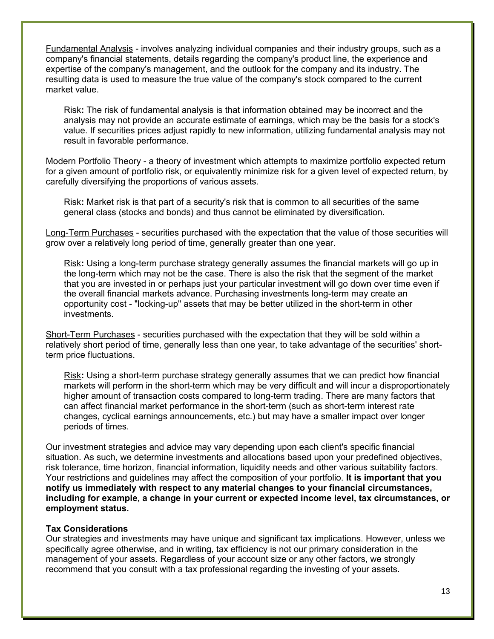Fundamental Analysis - involves analyzing individual companies and their industry groups, such as a company's financial statements, details regarding the company's product line, the experience and expertise of the company's management, and the outlook for the company and its industry. The resulting data is used to measure the true value of the company's stock compared to the current market value.

Risk**:** The risk of fundamental analysis is that information obtained may be incorrect and the analysis may not provide an accurate estimate of earnings, which may be the basis for a stock's value. If securities prices adjust rapidly to new information, utilizing fundamental analysis may not result in favorable performance.

Modern Portfolio Theory - a theory of investment which attempts to maximize portfolio expected return for a given amount of portfolio risk, or equivalently minimize risk for a given level of expected return, by carefully diversifying the proportions of various assets.

Risk**:** Market risk is that part of a security's risk that is common to all securities of the same general class (stocks and bonds) and thus cannot be eliminated by diversification.

Long-Term Purchases - securities purchased with the expectation that the value of those securities will grow over a relatively long period of time, generally greater than one year.

Risk**:** Using a long-term purchase strategy generally assumes the financial markets will go up in the long-term which may not be the case. There is also the risk that the segment of the market that you are invested in or perhaps just your particular investment will go down over time even if the overall financial markets advance. Purchasing investments long-term may create an opportunity cost - "locking-up" assets that may be better utilized in the short-term in other investments.

Short-Term Purchases - securities purchased with the expectation that they will be sold within a relatively short period of time, generally less than one year, to take advantage of the securities' shortterm price fluctuations.

Risk**:** Using a short-term purchase strategy generally assumes that we can predict how financial markets will perform in the short-term which may be very difficult and will incur a disproportionately higher amount of transaction costs compared to long-term trading. There are many factors that can affect financial market performance in the short-term (such as short-term interest rate changes, cyclical earnings announcements, etc.) but may have a smaller impact over longer periods of times.

Our investment strategies and advice may vary depending upon each client's specific financial situation. As such, we determine investments and allocations based upon your predefined objectives, risk tolerance, time horizon, financial information, liquidity needs and other various suitability factors. Your restrictions and guidelines may affect the composition of your portfolio. **It is important that you notify us immediately with respect to any material changes to your financial circumstances, including for example, a change in your current or expected income level, tax circumstances, or employment status.**

#### **Tax Considerations**

Our strategies and investments may have unique and significant tax implications. However, unless we specifically agree otherwise, and in writing, tax efficiency is not our primary consideration in the management of your assets. Regardless of your account size or any other factors, we strongly recommend that you consult with a tax professional regarding the investing of your assets.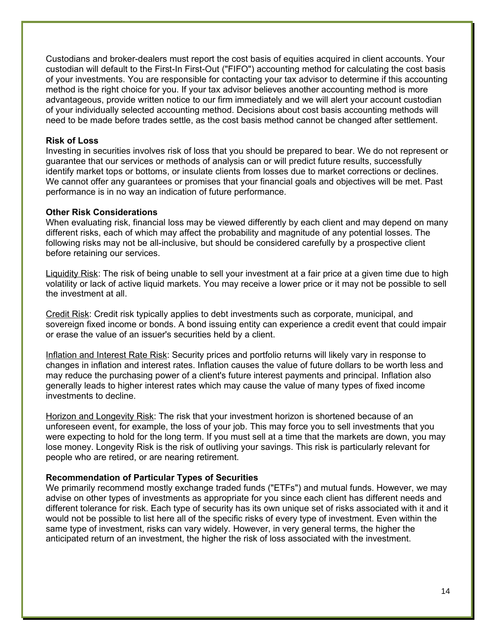Custodians and broker-dealers must report the cost basis of equities acquired in client accounts. Your custodian will default to the First-In First-Out ("FIFO") accounting method for calculating the cost basis of your investments. You are responsible for contacting your tax advisor to determine if this accounting method is the right choice for you. If your tax advisor believes another accounting method is more advantageous, provide written notice to our firm immediately and we will alert your account custodian of your individually selected accounting method. Decisions about cost basis accounting methods will need to be made before trades settle, as the cost basis method cannot be changed after settlement.

#### **Risk of Loss**

Investing in securities involves risk of loss that you should be prepared to bear. We do not represent or guarantee that our services or methods of analysis can or will predict future results, successfully identify market tops or bottoms, or insulate clients from losses due to market corrections or declines. We cannot offer any guarantees or promises that your financial goals and objectives will be met. Past performance is in no way an indication of future performance.

#### **Other Risk Considerations**

When evaluating risk, financial loss may be viewed differently by each client and may depend on many different risks, each of which may affect the probability and magnitude of any potential losses. The following risks may not be all-inclusive, but should be considered carefully by a prospective client before retaining our services.

Liquidity Risk: The risk of being unable to sell your investment at a fair price at a given time due to high volatility or lack of active liquid markets. You may receive a lower price or it may not be possible to sell the investment at all.

Credit Risk: Credit risk typically applies to debt investments such as corporate, municipal, and sovereign fixed income or bonds. A bond issuing entity can experience a credit event that could impair or erase the value of an issuer's securities held by a client.

Inflation and Interest Rate Risk: Security prices and portfolio returns will likely vary in response to changes in inflation and interest rates. Inflation causes the value of future dollars to be worth less and may reduce the purchasing power of a client's future interest payments and principal. Inflation also generally leads to higher interest rates which may cause the value of many types of fixed income investments to decline.

Horizon and Longevity Risk: The risk that your investment horizon is shortened because of an unforeseen event, for example, the loss of your job. This may force you to sell investments that you were expecting to hold for the long term. If you must sell at a time that the markets are down, you may lose money. Longevity Risk is the risk of outliving your savings. This risk is particularly relevant for people who are retired, or are nearing retirement.

#### **Recommendation of Particular Types of Securities**

We primarily recommend mostly exchange traded funds ("ETFs") and mutual funds. However, we may advise on other types of investments as appropriate for you since each client has different needs and different tolerance for risk. Each type of security has its own unique set of risks associated with it and it would not be possible to list here all of the specific risks of every type of investment. Even within the same type of investment, risks can vary widely. However, in very general terms, the higher the anticipated return of an investment, the higher the risk of loss associated with the investment.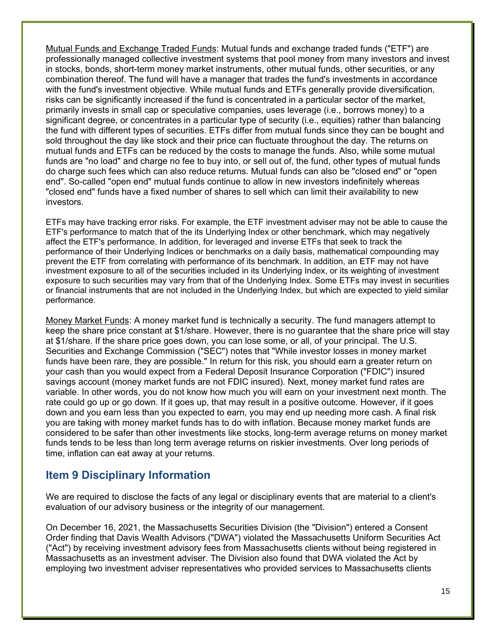Mutual Funds and Exchange Traded Funds: Mutual funds and exchange traded funds ("ETF") are professionally managed collective investment systems that pool money from many investors and invest in stocks, bonds, short-term money market instruments, other mutual funds, other securities, or any combination thereof. The fund will have a manager that trades the fund's investments in accordance with the fund's investment objective. While mutual funds and ETFs generally provide diversification, risks can be significantly increased if the fund is concentrated in a particular sector of the market, primarily invests in small cap or speculative companies, uses leverage (i.e., borrows money) to a significant degree, or concentrates in a particular type of security (i.e., equities) rather than balancing the fund with different types of securities. ETFs differ from mutual funds since they can be bought and sold throughout the day like stock and their price can fluctuate throughout the day. The returns on mutual funds and ETFs can be reduced by the costs to manage the funds. Also, while some mutual funds are "no load" and charge no fee to buy into, or sell out of, the fund, other types of mutual funds do charge such fees which can also reduce returns. Mutual funds can also be "closed end" or "open end". So-called "open end" mutual funds continue to allow in new investors indefinitely whereas "closed end" funds have a fixed number of shares to sell which can limit their availability to new investors.

ETFs may have tracking error risks. For example, the ETF investment adviser may not be able to cause the ETF's performance to match that of the its Underlying Index or other benchmark, which may negatively affect the ETF's performance. In addition, for leveraged and inverse ETFs that seek to track the performance of their Underlying Indices or benchmarks on a daily basis, mathematical compounding may prevent the ETF from correlating with performance of its benchmark. In addition, an ETF may not have investment exposure to all of the securities included in its Underlying Index, or its weighting of investment exposure to such securities may vary from that of the Underlying Index. Some ETFs may invest in securities or financial instruments that are not included in the Underlying Index, but which are expected to yield similar performance.

Money Market Funds: A money market fund is technically a security. The fund managers attempt to keep the share price constant at \$1/share. However, there is no guarantee that the share price will stay at \$1/share. If the share price goes down, you can lose some, or all, of your principal. The U.S. Securities and Exchange Commission ("SEC") notes that "While investor losses in money market funds have been rare, they are possible." In return for this risk, you should earn a greater return on your cash than you would expect from a Federal Deposit Insurance Corporation ("FDIC") insured savings account (money market funds are not FDIC insured). Next, money market fund rates are variable. In other words, you do not know how much you will earn on your investment next month. The rate could go up or go down. If it goes up, that may result in a positive outcome. However, if it goes down and you earn less than you expected to earn, you may end up needing more cash. A final risk you are taking with money market funds has to do with inflation. Because money market funds are considered to be safer than other investments like stocks, long-term average returns on money market funds tends to be less than long term average returns on riskier investments. Over long periods of time, inflation can eat away at your returns.

# **Item 9 Disciplinary Information**

We are required to disclose the facts of any legal or disciplinary events that are material to a client's evaluation of our advisory business or the integrity of our management.

On December 16, 2021, the Massachusetts Securities Division (the "Division") entered a Consent Order finding that Davis Wealth Advisors ("DWA") violated the Massachusetts Uniform Securities Act ("Act") by receiving investment advisory fees from Massachusetts clients without being registered in Massachusetts as an investment adviser. The Division also found that DWA violated the Act by employing two investment adviser representatives who provided services to Massachusetts clients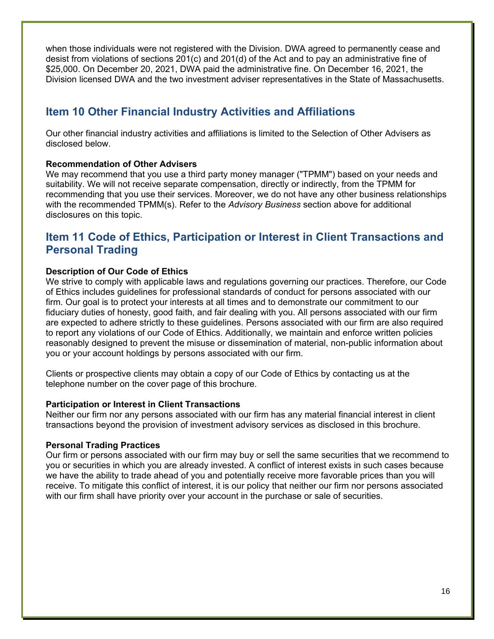when those individuals were not registered with the Division. DWA agreed to permanently cease and desist from violations of sections 201(c) and 201(d) of the Act and to pay an administrative fine of \$25,000. On December 20, 2021, DWA paid the administrative fine. On December 16, 2021, the Division licensed DWA and the two investment adviser representatives in the State of Massachusetts.

# **Item 10 Other Financial Industry Activities and Affiliations**

Our other financial industry activities and affiliations is limited to the Selection of Other Advisers as disclosed below.

## **Recommendation of Other Advisers**

We may recommend that you use a third party money manager ("TPMM") based on your needs and suitability. We will not receive separate compensation, directly or indirectly, from the TPMM for recommending that you use their services. Moreover, we do not have any other business relationships with the recommended TPMM(s). Refer to the *Advisory Business* section above for additional disclosures on this topic.

# **Item 11 Code of Ethics, Participation or Interest in Client Transactions and Personal Trading**

## **Description of Our Code of Ethics**

We strive to comply with applicable laws and regulations governing our practices. Therefore, our Code of Ethics includes guidelines for professional standards of conduct for persons associated with our firm. Our goal is to protect your interests at all times and to demonstrate our commitment to our fiduciary duties of honesty, good faith, and fair dealing with you. All persons associated with our firm are expected to adhere strictly to these guidelines. Persons associated with our firm are also required to report any violations of our Code of Ethics. Additionally, we maintain and enforce written policies reasonably designed to prevent the misuse or dissemination of material, non-public information about you or your account holdings by persons associated with our firm.

Clients or prospective clients may obtain a copy of our Code of Ethics by contacting us at the telephone number on the cover page of this brochure.

#### **Participation or Interest in Client Transactions**

Neither our firm nor any persons associated with our firm has any material financial interest in client transactions beyond the provision of investment advisory services as disclosed in this brochure.

#### **Personal Trading Practices**

Our firm or persons associated with our firm may buy or sell the same securities that we recommend to you or securities in which you are already invested. A conflict of interest exists in such cases because we have the ability to trade ahead of you and potentially receive more favorable prices than you will receive. To mitigate this conflict of interest, it is our policy that neither our firm nor persons associated with our firm shall have priority over your account in the purchase or sale of securities.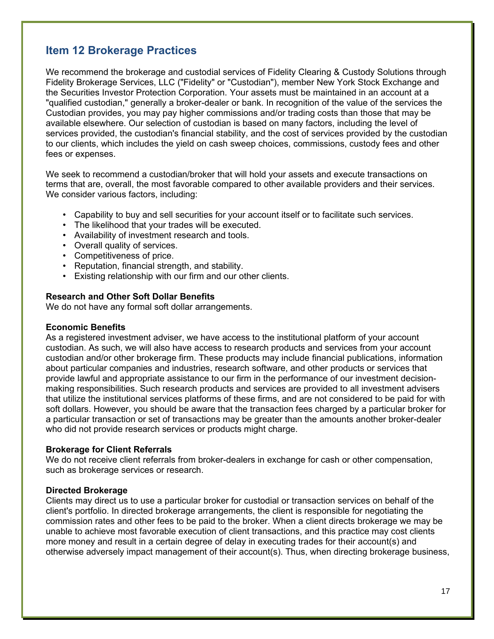# **Item 12 Brokerage Practices**

We recommend the brokerage and custodial services of Fidelity Clearing & Custody Solutions through Fidelity Brokerage Services, LLC ("Fidelity" or "Custodian"), member New York Stock Exchange and the Securities Investor Protection Corporation. Your assets must be maintained in an account at a "qualified custodian," generally a broker-dealer or bank. In recognition of the value of the services the Custodian provides, you may pay higher commissions and/or trading costs than those that may be available elsewhere. Our selection of custodian is based on many factors, including the level of services provided, the custodian's financial stability, and the cost of services provided by the custodian to our clients, which includes the yield on cash sweep choices, commissions, custody fees and other fees or expenses.

We seek to recommend a custodian/broker that will hold your assets and execute transactions on terms that are, overall, the most favorable compared to other available providers and their services. We consider various factors, including:

- Capability to buy and sell securities for your account itself or to facilitate such services.
- The likelihood that your trades will be executed.
- Availability of investment research and tools.
- Overall quality of services.
- Competitiveness of price.
- Reputation, financial strength, and stability.
- Existing relationship with our firm and our other clients.

#### **Research and Other Soft Dollar Benefits**

We do not have any formal soft dollar arrangements.

#### **Economic Benefits**

As a registered investment adviser, we have access to the institutional platform of your account custodian. As such, we will also have access to research products and services from your account custodian and/or other brokerage firm. These products may include financial publications, information about particular companies and industries, research software, and other products or services that provide lawful and appropriate assistance to our firm in the performance of our investment decisionmaking responsibilities. Such research products and services are provided to all investment advisers that utilize the institutional services platforms of these firms, and are not considered to be paid for with soft dollars. However, you should be aware that the transaction fees charged by a particular broker for a particular transaction or set of transactions may be greater than the amounts another broker-dealer who did not provide research services or products might charge.

#### **Brokerage for Client Referrals**

We do not receive client referrals from broker-dealers in exchange for cash or other compensation, such as brokerage services or research.

#### **Directed Brokerage**

Clients may direct us to use a particular broker for custodial or transaction services on behalf of the client's portfolio. In directed brokerage arrangements, the client is responsible for negotiating the commission rates and other fees to be paid to the broker. When a client directs brokerage we may be unable to achieve most favorable execution of client transactions, and this practice may cost clients more money and result in a certain degree of delay in executing trades for their account(s) and otherwise adversely impact management of their account(s). Thus, when directing brokerage business,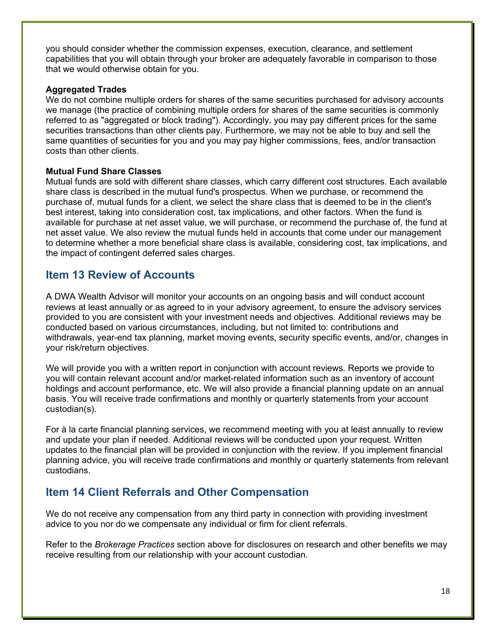you should consider whether the commission expenses, execution, clearance, and settlement capabilities that you will obtain through your broker are adequately favorable in comparison to those that we would otherwise obtain for you.

#### **Aggregated Trades**

We do not combine multiple orders for shares of the same securities purchased for advisory accounts we manage (the practice of combining multiple orders for shares of the same securities is commonly referred to as "aggregated or block trading"). Accordingly, you may pay different prices for the same securities transactions than other clients pay. Furthermore, we may not be able to buy and sell the same quantities of securities for you and you may pay higher commissions, fees, and/or transaction costs than other clients.

## **Mutual Fund Share Classes**

Mutual funds are sold with different share classes, which carry different cost structures. Each available share class is described in the mutual fund's prospectus. When we purchase, or recommend the purchase of, mutual funds for a client, we select the share class that is deemed to be in the client's best interest, taking into consideration cost, tax implications, and other factors. When the fund is available for purchase at net asset value, we will purchase, or recommend the purchase of, the fund at net asset value. We also review the mutual funds held in accounts that come under our management to determine whether a more beneficial share class is available, considering cost, tax implications, and the impact of contingent deferred sales charges.

# **Item 13 Review of Accounts**

A DWA Wealth Advisor will monitor your accounts on an ongoing basis and will conduct account reviews at least annually or as agreed to in your advisory agreement, to ensure the advisory services provided to you are consistent with your investment needs and objectives. Additional reviews may be conducted based on various circumstances, including, but not limited to: contributions and withdrawals, year-end tax planning, market moving events, security specific events, and/or, changes in your risk/return objectives.

We will provide you with a written report in conjunction with account reviews. Reports we provide to you will contain relevant account and/or market-related information such as an inventory of account holdings and account performance, etc. We will also provide a financial planning update on an annual basis. You will receive trade confirmations and monthly or quarterly statements from your account custodian(s).

For à la carte financial planning services, we recommend meeting with you at least annually to review and update your plan if needed. Additional reviews will be conducted upon your request. Written updates to the financial plan will be provided in conjunction with the review. If you implement financial planning advice, you will receive trade confirmations and monthly or quarterly statements from relevant custodians.

# **Item 14 Client Referrals and Other Compensation**

We do not receive any compensation from any third party in connection with providing investment advice to you nor do we compensate any individual or firm for client referrals.

Refer to the *Brokerage Practices* section above for disclosures on research and other benefits we may receive resulting from our relationship with your account custodian.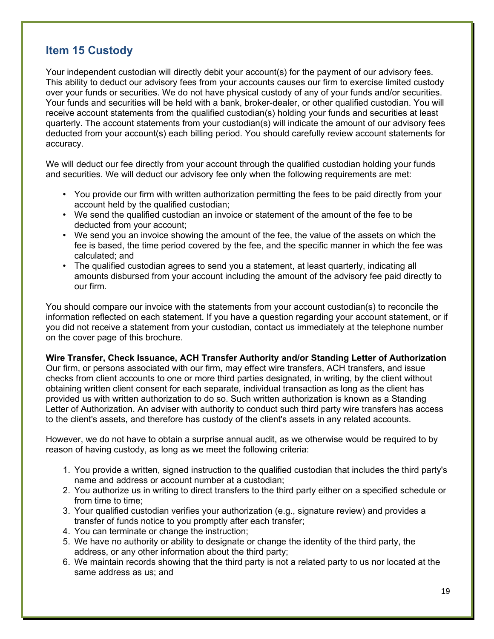# **Item 15 Custody**

Your independent custodian will directly debit your account(s) for the payment of our advisory fees. This ability to deduct our advisory fees from your accounts causes our firm to exercise limited custody over your funds or securities. We do not have physical custody of any of your funds and/or securities. Your funds and securities will be held with a bank, broker-dealer, or other qualified custodian. You will receive account statements from the qualified custodian(s) holding your funds and securities at least quarterly. The account statements from your custodian(s) will indicate the amount of our advisory fees deducted from your account(s) each billing period. You should carefully review account statements for accuracy.

We will deduct our fee directly from your account through the qualified custodian holding your funds and securities. We will deduct our advisory fee only when the following requirements are met:

- You provide our firm with written authorization permitting the fees to be paid directly from your account held by the qualified custodian;
- We send the qualified custodian an invoice or statement of the amount of the fee to be deducted from your account;
- We send you an invoice showing the amount of the fee, the value of the assets on which the fee is based, the time period covered by the fee, and the specific manner in which the fee was calculated; and
- The qualified custodian agrees to send you a statement, at least quarterly, indicating all amounts disbursed from your account including the amount of the advisory fee paid directly to our firm.

You should compare our invoice with the statements from your account custodian(s) to reconcile the information reflected on each statement. If you have a question regarding your account statement, or if you did not receive a statement from your custodian, contact us immediately at the telephone number on the cover page of this brochure.

**Wire Transfer, Check Issuance, ACH Transfer Authority and/or Standing Letter of Authorization** Our firm, or persons associated with our firm, may effect wire transfers, ACH transfers, and issue checks from client accounts to one or more third parties designated, in writing, by the client without obtaining written client consent for each separate, individual transaction as long as the client has provided us with written authorization to do so. Such written authorization is known as a Standing Letter of Authorization. An adviser with authority to conduct such third party wire transfers has access to the client's assets, and therefore has custody of the client's assets in any related accounts.

However, we do not have to obtain a surprise annual audit, as we otherwise would be required to by reason of having custody, as long as we meet the following criteria:

- 1. You provide a written, signed instruction to the qualified custodian that includes the third party's name and address or account number at a custodian;
- 2. You authorize us in writing to direct transfers to the third party either on a specified schedule or from time to time;
- 3. Your qualified custodian verifies your authorization (e.g., signature review) and provides a transfer of funds notice to you promptly after each transfer;
- 4. You can terminate or change the instruction;
- 5. We have no authority or ability to designate or change the identity of the third party, the address, or any other information about the third party;
- 6. We maintain records showing that the third party is not a related party to us nor located at the same address as us; and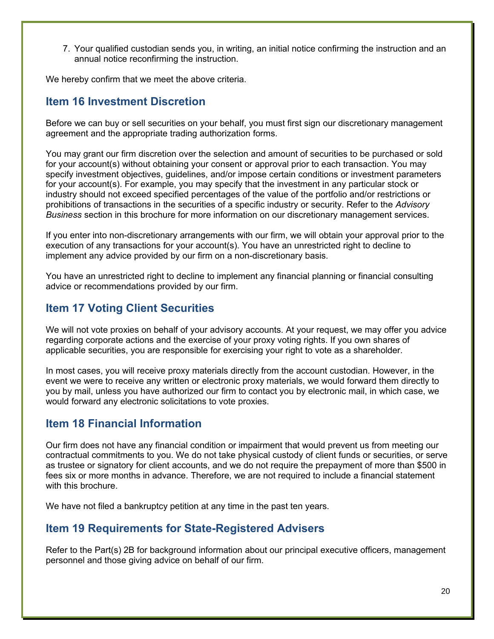7. Your qualified custodian sends you, in writing, an initial notice confirming the instruction and an annual notice reconfirming the instruction.

We hereby confirm that we meet the above criteria.

# **Item 16 Investment Discretion**

Before we can buy or sell securities on your behalf, you must first sign our discretionary management agreement and the appropriate trading authorization forms.

You may grant our firm discretion over the selection and amount of securities to be purchased or sold for your account(s) without obtaining your consent or approval prior to each transaction. You may specify investment objectives, guidelines, and/or impose certain conditions or investment parameters for your account(s). For example, you may specify that the investment in any particular stock or industry should not exceed specified percentages of the value of the portfolio and/or restrictions or prohibitions of transactions in the securities of a specific industry or security. Refer to the *Advisory Business* section in this brochure for more information on our discretionary management services.

If you enter into non-discretionary arrangements with our firm, we will obtain your approval prior to the execution of any transactions for your account(s). You have an unrestricted right to decline to implement any advice provided by our firm on a non-discretionary basis.

You have an unrestricted right to decline to implement any financial planning or financial consulting advice or recommendations provided by our firm.

# **Item 17 Voting Client Securities**

We will not vote proxies on behalf of your advisory accounts. At your request, we may offer you advice regarding corporate actions and the exercise of your proxy voting rights. If you own shares of applicable securities, you are responsible for exercising your right to vote as a shareholder.

In most cases, you will receive proxy materials directly from the account custodian. However, in the event we were to receive any written or electronic proxy materials, we would forward them directly to you by mail, unless you have authorized our firm to contact you by electronic mail, in which case, we would forward any electronic solicitations to vote proxies.

# **Item 18 Financial Information**

Our firm does not have any financial condition or impairment that would prevent us from meeting our contractual commitments to you. We do not take physical custody of client funds or securities, or serve as trustee or signatory for client accounts, and we do not require the prepayment of more than \$500 in fees six or more months in advance. Therefore, we are not required to include a financial statement with this brochure.

We have not filed a bankruptcy petition at any time in the past ten years.

# **Item 19 Requirements for State-Registered Advisers**

Refer to the Part(s) 2B for background information about our principal executive officers, management personnel and those giving advice on behalf of our firm.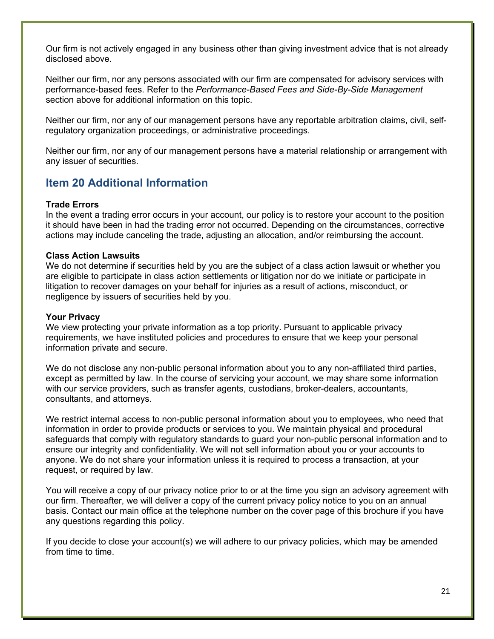Our firm is not actively engaged in any business other than giving investment advice that is not already disclosed above.

Neither our firm, nor any persons associated with our firm are compensated for advisory services with performance-based fees. Refer to the *Performance-Based Fees and Side-By-Side Management* section above for additional information on this topic.

Neither our firm, nor any of our management persons have any reportable arbitration claims, civil, selfregulatory organization proceedings, or administrative proceedings.

Neither our firm, nor any of our management persons have a material relationship or arrangement with any issuer of securities.

# **Item 20 Additional Information**

#### **Trade Errors**

In the event a trading error occurs in your account, our policy is to restore your account to the position it should have been in had the trading error not occurred. Depending on the circumstances, corrective actions may include canceling the trade, adjusting an allocation, and/or reimbursing the account.

## **Class Action Lawsuits**

We do not determine if securities held by you are the subject of a class action lawsuit or whether you are eligible to participate in class action settlements or litigation nor do we initiate or participate in litigation to recover damages on your behalf for injuries as a result of actions, misconduct, or negligence by issuers of securities held by you.

#### **Your Privacy**

We view protecting your private information as a top priority. Pursuant to applicable privacy requirements, we have instituted policies and procedures to ensure that we keep your personal information private and secure.

We do not disclose any non-public personal information about you to any non-affiliated third parties, except as permitted by law. In the course of servicing your account, we may share some information with our service providers, such as transfer agents, custodians, broker-dealers, accountants, consultants, and attorneys.

We restrict internal access to non-public personal information about you to employees, who need that information in order to provide products or services to you. We maintain physical and procedural safeguards that comply with regulatory standards to guard your non-public personal information and to ensure our integrity and confidentiality. We will not sell information about you or your accounts to anyone. We do not share your information unless it is required to process a transaction, at your request, or required by law.

You will receive a copy of our privacy notice prior to or at the time you sign an advisory agreement with our firm. Thereafter, we will deliver a copy of the current privacy policy notice to you on an annual basis. Contact our main office at the telephone number on the cover page of this brochure if you have any questions regarding this policy.

If you decide to close your account(s) we will adhere to our privacy policies, which may be amended from time to time.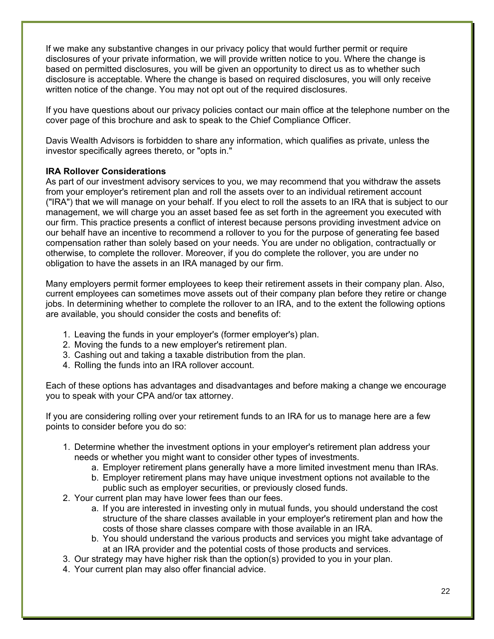If we make any substantive changes in our privacy policy that would further permit or require disclosures of your private information, we will provide written notice to you. Where the change is based on permitted disclosures, you will be given an opportunity to direct us as to whether such disclosure is acceptable. Where the change is based on required disclosures, you will only receive written notice of the change. You may not opt out of the required disclosures.

If you have questions about our privacy policies contact our main office at the telephone number on the cover page of this brochure and ask to speak to the Chief Compliance Officer.

Davis Wealth Advisors is forbidden to share any information, which qualifies as private, unless the investor specifically agrees thereto, or "opts in."

## **IRA Rollover Considerations**

As part of our investment advisory services to you, we may recommend that you withdraw the assets from your employer's retirement plan and roll the assets over to an individual retirement account ("IRA") that we will manage on your behalf. If you elect to roll the assets to an IRA that is subject to our management, we will charge you an asset based fee as set forth in the agreement you executed with our firm. This practice presents a conflict of interest because persons providing investment advice on our behalf have an incentive to recommend a rollover to you for the purpose of generating fee based compensation rather than solely based on your needs. You are under no obligation, contractually or otherwise, to complete the rollover. Moreover, if you do complete the rollover, you are under no obligation to have the assets in an IRA managed by our firm.

Many employers permit former employees to keep their retirement assets in their company plan. Also, current employees can sometimes move assets out of their company plan before they retire or change jobs. In determining whether to complete the rollover to an IRA, and to the extent the following options are available, you should consider the costs and benefits of:

- 1. Leaving the funds in your employer's (former employer's) plan.
- 2. Moving the funds to a new employer's retirement plan.
- 3. Cashing out and taking a taxable distribution from the plan.
- 4. Rolling the funds into an IRA rollover account.

Each of these options has advantages and disadvantages and before making a change we encourage you to speak with your CPA and/or tax attorney.

If you are considering rolling over your retirement funds to an IRA for us to manage here are a few points to consider before you do so:

- 1. Determine whether the investment options in your employer's retirement plan address your needs or whether you might want to consider other types of investments.
	- a. Employer retirement plans generally have a more limited investment menu than IRAs.
	- b. Employer retirement plans may have unique investment options not available to the public such as employer securities, or previously closed funds.
- 2. Your current plan may have lower fees than our fees.
	- a. If you are interested in investing only in mutual funds, you should understand the cost structure of the share classes available in your employer's retirement plan and how the costs of those share classes compare with those available in an IRA.
	- b. You should understand the various products and services you might take advantage of at an IRA provider and the potential costs of those products and services.
- 3. Our strategy may have higher risk than the option(s) provided to you in your plan.
- 4. Your current plan may also offer financial advice.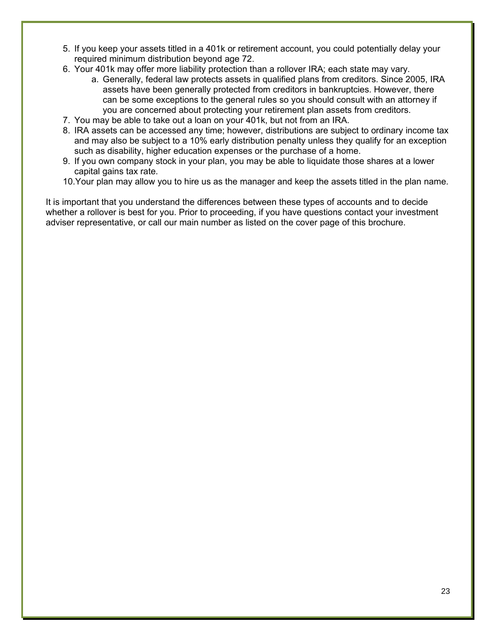- 5. If you keep your assets titled in a 401k or retirement account, you could potentially delay your required minimum distribution beyond age 72.
- 6. Your 401k may offer more liability protection than a rollover IRA; each state may vary.
	- a. Generally, federal law protects assets in qualified plans from creditors. Since 2005, IRA assets have been generally protected from creditors in bankruptcies. However, there can be some exceptions to the general rules so you should consult with an attorney if you are concerned about protecting your retirement plan assets from creditors.
- 7. You may be able to take out a loan on your 401k, but not from an IRA.
- 8. IRA assets can be accessed any time; however, distributions are subject to ordinary income tax and may also be subject to a 10% early distribution penalty unless they qualify for an exception such as disability, higher education expenses or the purchase of a home.
- 9. If you own company stock in your plan, you may be able to liquidate those shares at a lower capital gains tax rate.
- 10.Your plan may allow you to hire us as the manager and keep the assets titled in the plan name.

It is important that you understand the differences between these types of accounts and to decide whether a rollover is best for you. Prior to proceeding, if you have questions contact your investment adviser representative, or call our main number as listed on the cover page of this brochure.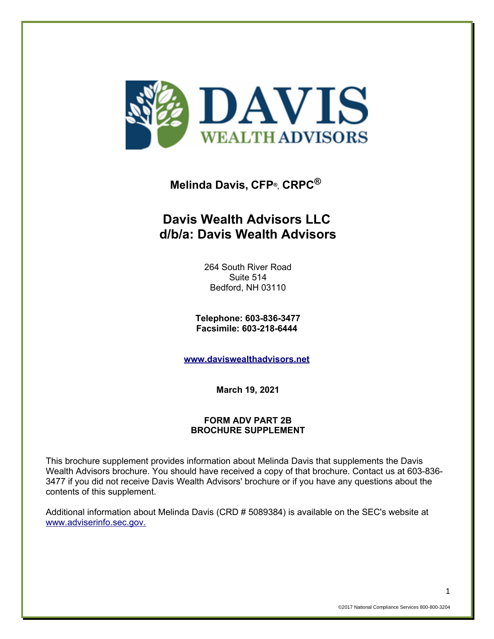

# **Melinda Davis, CFP®, CRPC®**

# **Davis Wealth Advisors LLC d/b/a: Davis Wealth Advisors**

264 South River Road Suite 514 Bedford, NH 03110

**Telephone: 603-836-3477 Facsimile: 603-218-6444** 

**[www.daviswealthadvisors.net](http://www.daviswealthadvisors.net/)**

**March 19, 2021**

## **FORM ADV PART 2B BROCHURE SUPPLEMENT**

This brochure supplement provides information about Melinda Davis that supplements the Davis Wealth Advisors brochure. You should have received a copy of that brochure. Contact us at 603-836- 3477 if you did not receive Davis Wealth Advisors' brochure or if you have any questions about the contents of this supplement.

Additional information about Melinda Davis (CRD # 5089384) is available on the SEC's website at [www.adviserinfo.sec.gov.](http://www.adviserinfo.sec.gov./)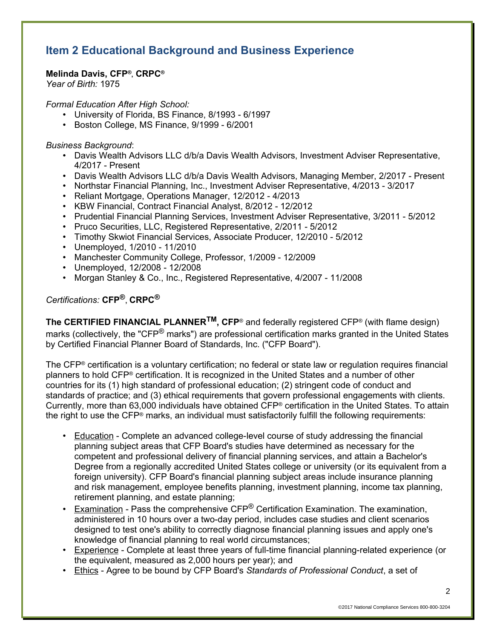# **Item 2 Educational Background and Business Experience**

## **Melinda Davis, CFP®, CRPC®**

*Year of Birth:* 1975

*Formal Education After High School:*

- University of Florida, BS Finance, 8/1993 6/1997
- Boston College, MS Finance, 9/1999 6/2001

#### *Business Background*:

- Davis Wealth Advisors LLC d/b/a Davis Wealth Advisors, Investment Adviser Representative, 4/2017 - Present
- Davis Wealth Advisors LLC d/b/a Davis Wealth Advisors, Managing Member, 2/2017 Present
- Northstar Financial Planning, Inc., Investment Adviser Representative, 4/2013 3/2017
- Reliant Mortgage, Operations Manager, 12/2012 4/2013
- KBW Financial, Contract Financial Analyst, 8/2012 12/2012
- Prudential Financial Planning Services, Investment Adviser Representative, 3/2011 5/2012
- Pruco Securities, LLC, Registered Representative, 2/2011 5/2012
- Timothy Skwiot Financial Services, Associate Producer, 12/2010 5/2012
- Unemployed, 1/2010 11/2010
- Manchester Community College, Professor, 1/2009 12/2009
- Unemployed, 12/2008 12/2008
- Morgan Stanley & Co., Inc., Registered Representative, 4/2007 11/2008

## *Certifications:* **CFP®**, **CRPC®**

**The CERTIFIED FINANCIAL PLANNERTM, CFP**® and federally registered CFP® (with flame design) marks (collectively, the "CFP<sup>®</sup> marks") are professional certification marks granted in the United States by Certified Financial Planner Board of Standards, Inc. ("CFP Board").

The CFP® certification is a voluntary certification; no federal or state law or regulation requires financial planners to hold CFP® certification. It is recognized in the United States and a number of other countries for its (1) high standard of professional education; (2) stringent code of conduct and standards of practice; and (3) ethical requirements that govern professional engagements with clients. Currently, more than 63,000 individuals have obtained CFP® certification in the United States. To attain the right to use the CFP® marks, an individual must satisfactorily fulfill the following requirements:

- Education Complete an advanced college-level course of study addressing the financial planning subject areas that CFP Board's studies have determined as necessary for the competent and professional delivery of financial planning services, and attain a Bachelor's Degree from a regionally accredited United States college or university (or its equivalent from a foreign university). CFP Board's financial planning subject areas include insurance planning and risk management, employee benefits planning, investment planning, income tax planning, retirement planning, and estate planning;
- Examination Pass the comprehensive  $CFP^{\odot}$  Certification Examination. The examination, administered in 10 hours over a two-day period, includes case studies and client scenarios designed to test one's ability to correctly diagnose financial planning issues and apply one's knowledge of financial planning to real world circumstances;
- Experience Complete at least three years of full-time financial planning-related experience (or the equivalent, measured as 2,000 hours per year); and
- Ethics Agree to be bound by CFP Board's *Standards of Professional Conduct*, a set of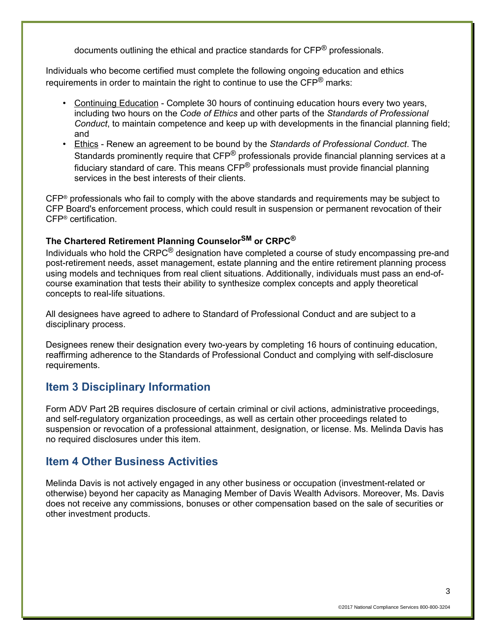documents outlining the ethical and practice standards for CFP® professionals.

Individuals who become certified must complete the following ongoing education and ethics requirements in order to maintain the right to continue to use the  $\text{CFP}^{\textcircled{e}}$  marks:

- Continuing Education Complete 30 hours of continuing education hours every two years, including two hours on the *Code of Ethics* and other parts of the *Standards of Professional Conduct*, to maintain competence and keep up with developments in the financial planning field; and
- Ethics Renew an agreement to be bound by the *Standards of Professional Conduct*. The Standards prominently require that CFP<sup>®</sup> professionals provide financial planning services at a fiduciary standard of care. This means  $\text{CFP}^{\textcircled{D}}$  professionals must provide financial planning services in the best interests of their clients.

CFP® professionals who fail to comply with the above standards and requirements may be subject to CFP Board's enforcement process, which could result in suspension or permanent revocation of their CFP® certification.

## **The Chartered Retirement Planning CounselorSM or CRPC®**

Individuals who hold the  $CRPC^®$  designation have completed a course of study encompassing pre-and post-retirement needs, asset management, estate planning and the entire retirement planning process using models and techniques from real client situations. Additionally, individuals must pass an end-ofcourse examination that tests their ability to synthesize complex concepts and apply theoretical concepts to real-life situations.

All designees have agreed to adhere to Standard of Professional Conduct and are subject to a disciplinary process.

Designees renew their designation every two-years by completing 16 hours of continuing education, reaffirming adherence to the Standards of Professional Conduct and complying with self-disclosure requirements.

## **Item 3 Disciplinary Information**

Form ADV Part 2B requires disclosure of certain criminal or civil actions, administrative proceedings, and self-regulatory organization proceedings, as well as certain other proceedings related to suspension or revocation of a professional attainment, designation, or license. Ms. Melinda Davis has no required disclosures under this item.

## **Item 4 Other Business Activities**

Melinda Davis is not actively engaged in any other business or occupation (investment-related or otherwise) beyond her capacity as Managing Member of Davis Wealth Advisors. Moreover, Ms. Davis does not receive any commissions, bonuses or other compensation based on the sale of securities or other investment products.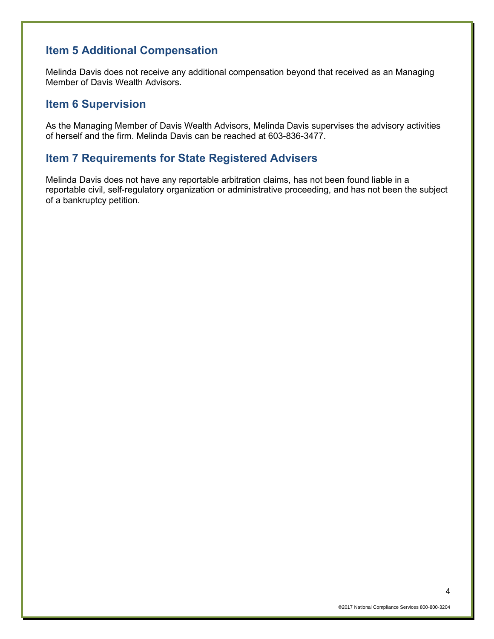# **Item 5 Additional Compensation**

Melinda Davis does not receive any additional compensation beyond that received as an Managing Member of Davis Wealth Advisors.

# **Item 6 Supervision**

As the Managing Member of Davis Wealth Advisors, Melinda Davis supervises the advisory activities of herself and the firm. Melinda Davis can be reached at 603-836-3477.

## **Item 7 Requirements for State Registered Advisers**

Melinda Davis does not have any reportable arbitration claims, has not been found liable in a reportable civil, self-regulatory organization or administrative proceeding, and has not been the subject of a bankruptcy petition.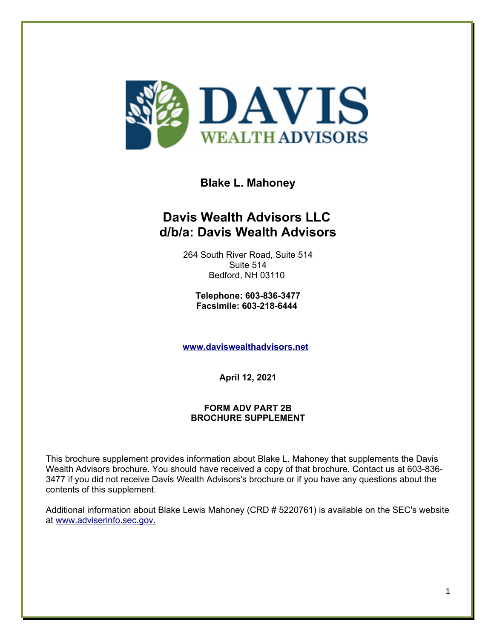

**Blake L. Mahoney**

# **Davis Wealth Advisors LLC d/b/a: Davis Wealth Advisors**

264 South River Road, Suite 514 Suite 514 Bedford, NH 03110

**Telephone: 603-836-3477 Facsimile: 603-218-6444** 

**[www.daviswealthadvisors.net](http://www.daviswealthadvisors.net/)**

**April 12, 2021**

## **FORM ADV PART 2B BROCHURE SUPPLEMENT**

This brochure supplement provides information about Blake L. Mahoney that supplements the Davis Wealth Advisors brochure. You should have received a copy of that brochure. Contact us at 603-836- 3477 if you did not receive Davis Wealth Advisors's brochure or if you have any questions about the contents of this supplement.

Additional information about Blake Lewis Mahoney (CRD # 5220761) is available on the SEC's website at [www.adviserinfo.sec.gov.](http://www.adviserinfo.sec.gov./)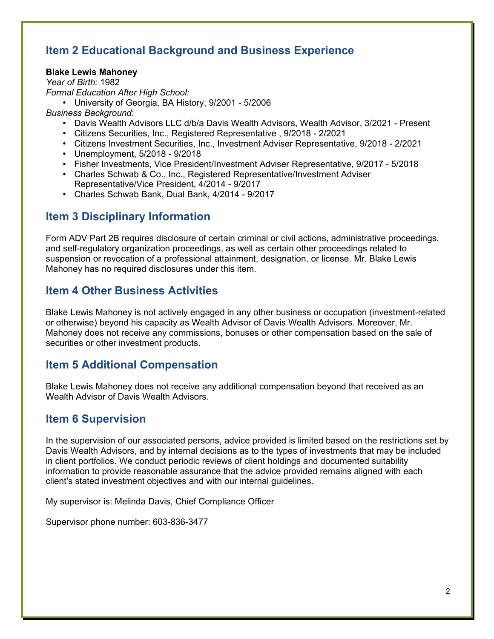# **Item 2 Educational Background and Business Experience**

## **Blake Lewis Mahoney**

*Year of Birth:* 1982 *Formal Education After High School:*

• University of Georgia, BA History, 9/2001 - 5/2006

*Business Background*:

- Davis Wealth Advisors LLC d/b/a Davis Wealth Advisors, Wealth Advisor, 3/2021 Present
- Citizens Securities, Inc., Registered Representative , 9/2018 2/2021
- Citizens Investment Securities, Inc., Investment Adviser Representative, 9/2018 2/2021
- Unemployment, 5/2018 9/2018
- Fisher Investments, Vice President/Investment Adviser Representative, 9/2017 5/2018
- Charles Schwab & Co., Inc., Registered Representative/Investment Adviser Representative/Vice President, 4/2014 - 9/2017
- Charles Schwab Bank, Dual Bank, 4/2014 9/2017

# **Item 3 Disciplinary Information**

Form ADV Part 2B requires disclosure of certain criminal or civil actions, administrative proceedings, and self-regulatory organization proceedings, as well as certain other proceedings related to suspension or revocation of a professional attainment, designation, or license. Mr. Blake Lewis Mahoney has no required disclosures under this item.

# **Item 4 Other Business Activities**

Blake Lewis Mahoney is not actively engaged in any other business or occupation (investment-related or otherwise) beyond his capacity as Wealth Advisor of Davis Wealth Advisors. Moreover, Mr. Mahoney does not receive any commissions, bonuses or other compensation based on the sale of securities or other investment products.

# **Item 5 Additional Compensation**

Blake Lewis Mahoney does not receive any additional compensation beyond that received as an Wealth Advisor of Davis Wealth Advisors.

# **Item 6 Supervision**

In the supervision of our associated persons, advice provided is limited based on the restrictions set by Davis Wealth Advisors, and by internal decisions as to the types of investments that may be included in client portfolios. We conduct periodic reviews of client holdings and documented suitability information to provide reasonable assurance that the advice provided remains aligned with each client's stated investment objectives and with our internal guidelines.

My supervisor is: Melinda Davis, Chief Compliance Officer

Supervisor phone number: 603-836-3477